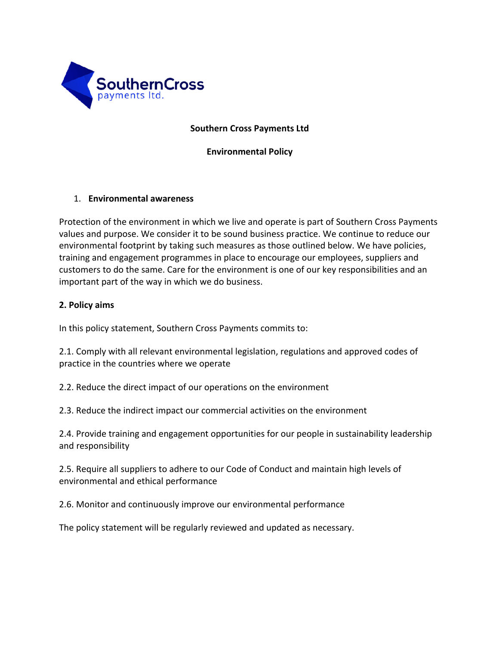

## **Southern Cross Payments Ltd**

**Environmental Policy**

## 1. **Environmental awareness**

Protection of the environment in which we live and operate is part of Southern Cross Payments values and purpose. We consider it to be sound business practice. We continue to reduce our environmental footprint by taking such measures as those outlined below. We have policies, training and engagement programmes in place to encourage our employees, suppliers and customers to do the same. Care for the environment is one of our key responsibilities and an important part of the way in which we do business.

## **2. Policy aims**

In this policy statement, Southern Cross Payments commits to:

2.1. Comply with all relevant environmental legislation, regulations and approved codes of practice in the countries where we operate

2.2. Reduce the direct impact of our operations on the environment

2.3. Reduce the indirect impact our commercial activities on the environment

2.4. Provide training and engagement opportunities for our people in sustainability leadership and responsibility

2.5. Require all suppliers to adhere to our Code of Conduct and maintain high levels of environmental and ethical performance

2.6. Monitor and continuously improve our environmental performance

The policy statement will be regularly reviewed and updated as necessary.